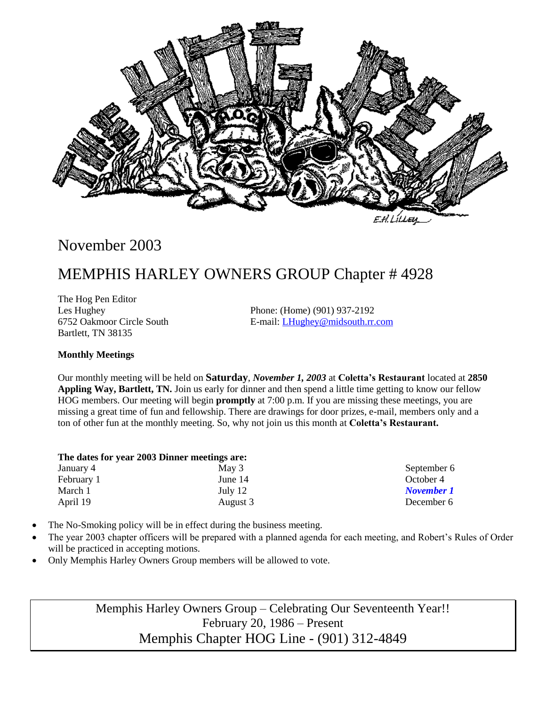

# November 2003

# MEMPHIS HARLEY OWNERS GROUP Chapter # 4928

The Hog Pen Editor Bartlett, TN 38135

Les Hughey Phone: (Home) (901) 937-2192 6752 Oakmoor Circle South E-mail: [LHughey@midsouth.rr.com](mailto:LHughey@midsouth.rr.com)

#### **Monthly Meetings**

Our monthly meeting will be held on **Saturday**, *November 1, 2003* at **Coletta's Restaurant** located at **2850 Appling Way, Bartlett, TN.** Join us early for dinner and then spend a little time getting to know our fellow HOG members. Our meeting will begin **promptly** at 7:00 p.m. If you are missing these meetings, you are missing a great time of fun and fellowship. There are drawings for door prizes, e-mail, members only and a ton of other fun at the monthly meeting. So, why not join us this month at **Coletta's Restaurant.**

| The dates for year 2003 Dinner meetings are: |          |  |  |  |
|----------------------------------------------|----------|--|--|--|
| January 4                                    | May 3    |  |  |  |
| February 1                                   | June 14  |  |  |  |
| March 1                                      | July 12  |  |  |  |
| April 19                                     | August 3 |  |  |  |

September 6 October 4 *November 1* December 6

- The No-Smoking policy will be in effect during the business meeting.
- The year 2003 chapter officers will be prepared with a planned agenda for each meeting, and Robert's Rules of Order will be practiced in accepting motions.
- Only Memphis Harley Owners Group members will be allowed to vote.

Memphis Harley Owners Group – Celebrating Our Seventeenth Year!! February 20, 1986 – Present Memphis Chapter HOG Line - (901) 312-4849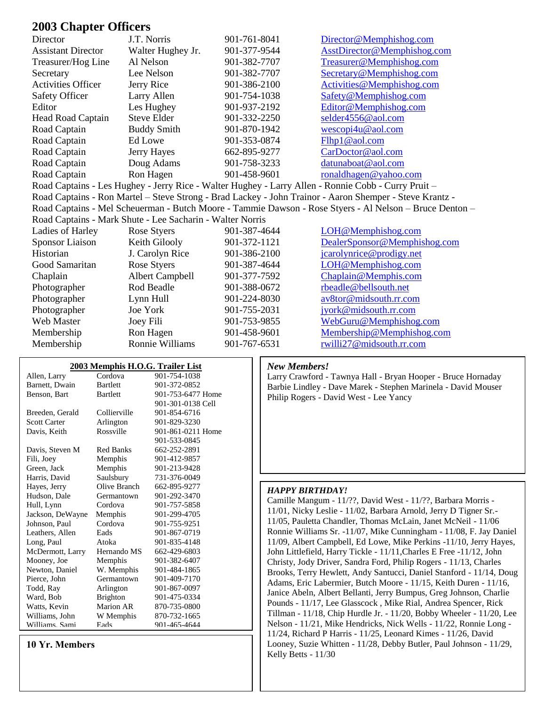### **2003 Chapter Officers**

| Director                  | J.T. Norris                                               | 901-761-8041 | Director@Memphishog.com                                                                                 |
|---------------------------|-----------------------------------------------------------|--------------|---------------------------------------------------------------------------------------------------------|
| <b>Assistant Director</b> | Walter Hughey Jr.                                         | 901-377-9544 | AsstDirector@Memphishog.com                                                                             |
| Treasurer/Hog Line        | Al Nelson                                                 | 901-382-7707 | Treasurer@Memphishog.com                                                                                |
| Secretary                 | Lee Nelson                                                | 901-382-7707 | Secretary@Memphishog.com                                                                                |
| <b>Activities Officer</b> | Jerry Rice                                                | 901-386-2100 | Activities@Memphishog.com                                                                               |
| <b>Safety Officer</b>     | Larry Allen                                               | 901-754-1038 | Safety@Memphishog.com                                                                                   |
| Editor                    | Les Hughey                                                | 901-937-2192 | Editor@Memphishog.com                                                                                   |
| Head Road Captain         | <b>Steve Elder</b>                                        | 901-332-2250 | selder4556@aol.com                                                                                      |
| Road Captain              | <b>Buddy Smith</b>                                        | 901-870-1942 | wescopi4u@aol.com                                                                                       |
| Road Captain              | Ed Lowe                                                   | 901-353-0874 | Flhp1@aol.com                                                                                           |
| Road Captain              | Jerry Hayes                                               | 662-895-9277 | CarDoctor@aol.com                                                                                       |
| Road Captain              | Doug Adams                                                | 901-758-3233 | datunaboat@aol.com                                                                                      |
| Road Captain              | Ron Hagen                                                 | 901-458-9601 | ronaldhagen@yahoo.com                                                                                   |
|                           |                                                           |              | Road Captains - Les Hughey - Jerry Rice - Walter Hughey - Larry Allen - Ronnie Cobb - Curry Pruit -     |
|                           |                                                           |              | Road Captains - Ron Martel - Steve Strong - Brad Lackey - John Trainor - Aaron Shemper - Steve Krantz - |
|                           |                                                           |              | Road Captains - Mel Scheuerman - Butch Moore - Tammie Dawson - Rose Styers - Al Nelson - Bruce Denton - |
|                           | Road Captains - Mark Shute - Lee Sacharin - Walter Norris |              |                                                                                                         |
| Ladies of Harley          | Rose Styers                                               | 901-387-4644 | LOH@Memphishog.com                                                                                      |
| <b>Sponsor Liaison</b>    | Keith Gilooly                                             | 901-372-1121 | DealerSponsor@Memphishog.com                                                                            |
| Historian                 | J. Carolyn Rice                                           | 901-386-2100 | jcarolynrice@prodigy.net                                                                                |
| Good Samaritan            | Rose Styers                                               | 901-387-4644 | LOH@Memphishog.com                                                                                      |
| Chaplain                  | <b>Albert Campbell</b>                                    | 901-377-7592 | Chaplain@Memphis.com                                                                                    |
| Photographer              | Rod Beadle                                                | 901-388-0672 | rbeadle@bellsouth.net                                                                                   |
| Photographer              | Lynn Hull                                                 | 901-224-8030 | av8tor@midsouth.rr.com                                                                                  |
| Photographer              | Joe York                                                  | 901-755-2031 | jyork@midsouth.rr.com                                                                                   |
| Web Master                | Joey Fili                                                 | 901-753-9855 | WebGuru@Memphishog.com                                                                                  |
| Membership                | Ron Hagen                                                 | 901-458-9601 | Membership@Memphishog.com                                                                               |
| Membership                | Ronnie Williams                                           | 901-767-6531 | rwilli27@midsouth.rr.com                                                                                |

|                     | 2003 Memphis H.O.G. Trailer List |                   |
|---------------------|----------------------------------|-------------------|
| Allen, Larry        | Cordova                          | 901-754-1038      |
| Barnett, Dwain      | <b>Bartlett</b>                  | 901-372-0852      |
| Benson, Bart        | <b>Bartlett</b>                  | 901-753-6477 Home |
|                     |                                  | 901-301-0138 Cell |
| Breeden, Gerald     | Collierville                     | 901-854-6716      |
| <b>Scott Carter</b> | Arlington                        | 901-829-3230      |
| Davis, Keith        | Rossville                        | 901-861-0211 Home |
|                     |                                  | 901-533-0845      |
| Davis, Steven M     | Red Banks                        | 662-252-2891      |
| Fili, Joey          | Memphis                          | 901-412-9857      |
| Green, Jack         | Memphis                          | 901-213-9428      |
| Harris, David       | Saulsbury                        | 731-376-0049      |
| Hayes, Jerry        | Olive Branch                     | 662-895-9277      |
| Hudson, Dale        | Germantown                       | 901-292-3470      |
| Hull, Lynn          | Cordova                          | 901-757-5858      |
| Jackson, DeWayne    | Memphis                          | 901-299-4705      |
| Johnson, Paul       | Cordova                          | 901-755-9251      |
| Leathers, Allen     | Eads                             | 901-867-0719      |
| Long, Paul          | Atoka                            | 901-835-4148      |
| McDermott, Larry    | Hernando MS                      | 662-429-6803      |
| Mooney, Joe         | Memphis                          | 901-382-6407      |
| Newton, Daniel      | W. Memphis                       | 901-484-1865      |
| Pierce, John        | Germantown                       | 901-409-7170      |
| Todd, Ray           | Arlington                        | 901-867-0097      |
| Ward, Bob           | <b>Brighton</b>                  | 901-475-0334      |
| Watts, Kevin        | Marion AR                        | 870-735-0800      |
| Williams, John      | W Memphis                        | 870-732-1665      |
| Williams Sami       | Eads                             | 901-465-4644      |

**10 Yr. Members**

#### *New Members!*

Larry Crawford - Tawnya Hall - Bryan Hooper - Bruce Hornaday Barbie Lindley - Dave Marek - Stephen Marinela - David Mouser Philip Rogers - David West - Lee Yancy

#### *HAPPY BIRTHDAY!*

Camille Mangum - 11/??, David West - 11/??, Barbara Morris - 11/01, Nicky Leslie - 11/02, Barbara Arnold, Jerry D Tigner Sr.- 11/05, Pauletta Chandler, Thomas McLain, Janet McNeil - 11/06 Ronnie Williams Sr. -11/07, Mike Cunningham - 11/08, F. Jay Daniel 11/09, Albert Campbell, Ed Lowe, Mike Perkins -11/10, Jerry Hayes, John Littlefield, Harry Tickle - 11/11,Charles E Free -11/12, John Christy, Jody Driver, Sandra Ford, Philip Rogers - 11/13, Charles Brooks, Terry Hewlett, Andy Santucci, Daniel Stanford - 11/14, Doug Adams, Eric Labermier, Butch Moore - 11/15, Keith Duren - 11/16, Janice Abeln, Albert Bellanti, Jerry Bumpus, Greg Johnson, Charlie Pounds - 11/17, Lee Glasscock , Mike Rial, Andrea Spencer, Rick Tillman - 11/18, Chip Hurdle Jr. - 11/20, Bobby Wheeler - 11/20, Lee Nelson - 11/21, Mike Hendricks, Nick Wells - 11/22, Ronnie Long - 11/24, Richard P Harris - 11/25, Leonard Kimes - 11/26, David Looney, Suzie Whitten - 11/28, Debby Butler, Paul Johnson - 11/29, Kelly Betts - 11/30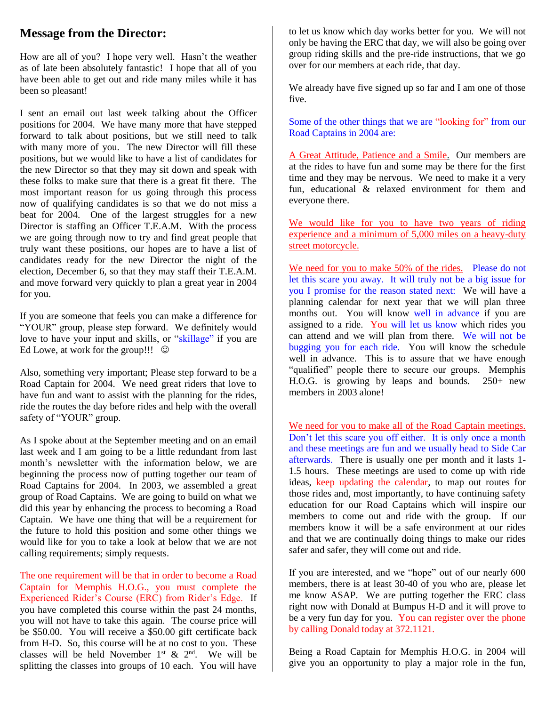# **Message from the Director:**

How are all of you? I hope very well. Hasn't the weather as of late been absolutely fantastic! I hope that all of you have been able to get out and ride many miles while it has been so pleasant!

I sent an email out last week talking about the Officer positions for 2004. We have many more that have stepped forward to talk about positions, but we still need to talk with many more of you. The new Director will fill these positions, but we would like to have a list of candidates for the new Director so that they may sit down and speak with these folks to make sure that there is a great fit there. The most important reason for us going through this process now of qualifying candidates is so that we do not miss a beat for 2004. One of the largest struggles for a new Director is staffing an Officer T.E.A.M. With the process we are going through now to try and find great people that truly want these positions, our hopes are to have a list of candidates ready for the new Director the night of the election, December 6, so that they may staff their T.E.A.M. and move forward very quickly to plan a great year in 2004 for you.

If you are someone that feels you can make a difference for "YOUR" group, please step forward. We definitely would love to have your input and skills, or "skillage" if you are Ed Lowe, at work for the group!!!  $\odot$ 

Also, something very important; Please step forward to be a Road Captain for 2004. We need great riders that love to have fun and want to assist with the planning for the rides, ride the routes the day before rides and help with the overall safety of "YOUR" group.

As I spoke about at the September meeting and on an email last week and I am going to be a little redundant from last month's newsletter with the information below, we are beginning the process now of putting together our team of Road Captains for 2004. In 2003, we assembled a great group of Road Captains. We are going to build on what we did this year by enhancing the process to becoming a Road Captain. We have one thing that will be a requirement for the future to hold this position and some other things we would like for you to take a look at below that we are not calling requirements; simply requests.

The one requirement will be that in order to become a Road Captain for Memphis H.O.G., you must complete the Experienced Rider's Course (ERC) from Rider's Edge. If you have completed this course within the past 24 months, you will not have to take this again. The course price will be \$50.00. You will receive a \$50.00 gift certificate back from H-D. So, this course will be at no cost to you. These classes will be held November  $1^{st}$  &  $2^{nd}$ . We will be splitting the classes into groups of 10 each. You will have

to let us know which day works better for you. We will not only be having the ERC that day, we will also be going over group riding skills and the pre-ride instructions, that we go over for our members at each ride, that day.

We already have five signed up so far and I am one of those five.

Some of the other things that we are "looking for" from our Road Captains in 2004 are:

A Great Attitude, Patience and a Smile. Our members are at the rides to have fun and some may be there for the first time and they may be nervous. We need to make it a very fun, educational & relaxed environment for them and everyone there.

We would like for you to have two years of riding experience and a minimum of 5,000 miles on a heavy-duty street motorcycle.

We need for you to make 50% of the rides. Please do not let this scare you away. It will truly not be a big issue for you I promise for the reason stated next: We will have a planning calendar for next year that we will plan three months out. You will know well in advance if you are assigned to a ride. You will let us know which rides you can attend and we will plan from there. We will not be bugging you for each ride. You will know the schedule well in advance. This is to assure that we have enough "qualified" people there to secure our groups. Memphis H.O.G. is growing by leaps and bounds. 250+ new members in 2003 alone!

We need for you to make all of the Road Captain meetings. Don't let this scare you off either. It is only once a month and these meetings are fun and we usually head to Side Car afterwards. There is usually one per month and it lasts 1- 1.5 hours. These meetings are used to come up with ride ideas, keep updating the calendar, to map out routes for those rides and, most importantly, to have continuing safety education for our Road Captains which will inspire our members to come out and ride with the group. If our members know it will be a safe environment at our rides and that we are continually doing things to make our rides safer and safer, they will come out and ride.

If you are interested, and we "hope" out of our nearly 600 members, there is at least 30-40 of you who are, please let me know ASAP. We are putting together the ERC class right now with Donald at Bumpus H-D and it will prove to be a very fun day for you. You can register over the phone by calling Donald today at 372.1121.

Being a Road Captain for Memphis H.O.G. in 2004 will give you an opportunity to play a major role in the fun,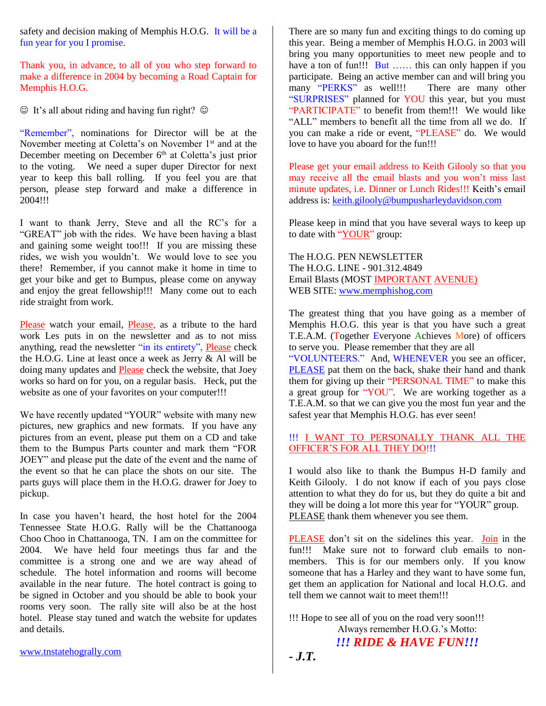safety and decision making of Memphis H.O.G. It will be a fun year for you I promise.

Thank you, in advance, to all of you who step forward to make a difference in 2004 by becoming a Road Captain for Memphis H.O.G.

 $\odot$  It's all about riding and having fun right?  $\odot$ 

"Remember", nominations for Director will be at the November meeting at Coletta's on November  $1<sup>st</sup>$  and at the December meeting on December 6<sup>th</sup> at Coletta's just prior to the voting. We need a super duper Director for next year to keep this ball rolling. If you feel you are that person, please step forward and make a difference in 2004!!!

I want to thank Jerry, Steve and all the RC's for a "GREAT" job with the rides. We have been having a blast and gaining some weight too!!! If you are missing these rides, we wish you wouldn't. We would love to see you there! Remember, if you cannot make it home in time to get your bike and get to Bumpus, please come on anyway and enjoy the great fellowship!!! Many come out to each ride straight from work.

Please watch your email, Please, as a tribute to the hard work Les puts in on the newsletter and as to not miss anything, read the newsletter "in its entirety", Please check the H.O.G. Line at least once a week as Jerry & Al will be doing many updates and Please check the website, that Joey works so hard on for you, on a regular basis. Heck, put the website as one of your favorites on your computer!!!

We have recently updated "YOUR" website with many new pictures, new graphics and new formats. If you have any pictures from an event, please put them on a CD and take them to the Bumpus Parts counter and mark them "FOR JOEY" and please put the date of the event and the name of the event so that he can place the shots on our site. The parts guys will place them in the H.O.G. drawer for Joey to pickup.

In case you haven't heard, the host hotel for the 2004 Tennessee State H.O.G. Rally will be the Chattanooga Choo Choo in Chattanooga, TN. I am on the committee for 2004. We have held four meetings thus far and the committee is a strong one and we are way ahead of schedule. The hotel information and rooms will become available in the near future. The hotel contract is going to be signed in October and you should be able to book your rooms very soon. The rally site will also be at the host hotel. Please stay tuned and watch the website for updates and details.

There are so many fun and exciting things to do coming up this year. Being a member of Memphis H.O.G. in 2003 will bring you many opportunities to meet new people and to have a ton of fun!!! But ...... this can only happen if you participate. Being an active member can and will bring you many "PERKS" as well!!! There are many other "SURPRISES" planned for YOU this year, but you must "PARTICIPATE" to benefit from them!!! We would like "ALL" members to benefit all the time from all we do. If you can make a ride or event, "PLEASE" do. We would love to have you aboard for the fun!!!

Please get your email address to Keith Gilooly so that you may receive all the email blasts and you won't miss last minute updates, i.e. Dinner or Lunch Rides!!! Keith's email address is: [keith.gilooly@bumpusharleydavidson.com](mailto:keith.gilooly@bumpusharleydavidson.com)

Please keep in mind that you have several ways to keep up to date with "YOUR" group:

The H.O.G. PEN NEWSLETTER The H.O.G. LINE - 901.312.4849 Email Blasts (MOST IMPORTANT AVENUE) WEB SITE: [www.memphishog.com](http://www.memphishog.com/)

The greatest thing that you have going as a member of Memphis H.O.G. this year is that you have such a great T.E.A.M. (Together Everyone Achieves More) of officers to serve you. Please remember that they are all "VOLUNTEERS." And, WHENEVER you see an officer, PLEASE pat them on the back, shake their hand and thank them for giving up their "PERSONAL TIME" to make this a great group for "YOU". We are working together as a T.E.A.M. so that we can give you the most fun year and the safest year that Memphis H.O.G. has ever seen!

#### !!! I WANT TO PERSONALLY THANK ALL THE OFFICER'S FOR ALL THEY DO!!!

I would also like to thank the Bumpus H-D family and Keith Gilooly. I do not know if each of you pays close attention to what they do for us, but they do quite a bit and they will be doing a lot more this year for "YOUR" group. PLEASE thank them whenever you see them.

PLEASE don't sit on the sidelines this year. Join in the fun!!! Make sure not to forward club emails to nonmembers. This is for our members only. If you know someone that has a Harley and they want to have some fun, get them an application for National and local H.O.G. and tell them we cannot wait to meet them!!!

!!! Hope to see all of you on the road very soon!!! Always remember H.O.G.'s Motto:

## *!!! RIDE & HAVE FUN!!!*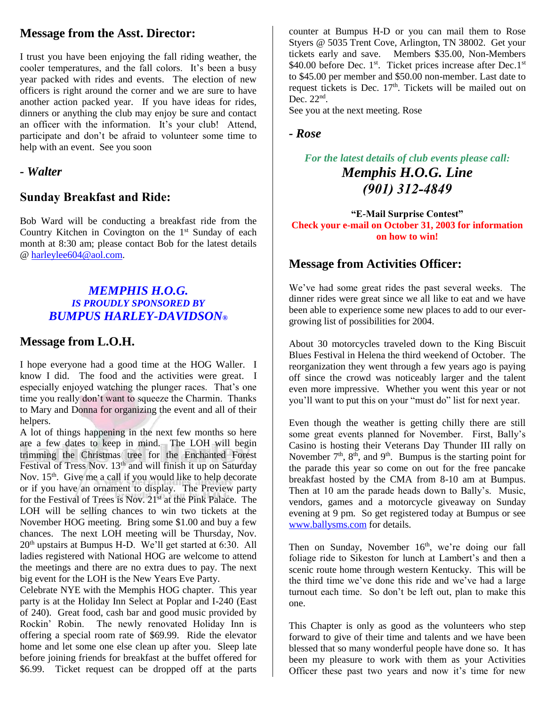# **Message from the Asst. Director:**

I trust you have been enjoying the fall riding weather, the cooler temperatures, and the fall colors. It's been a busy year packed with rides and events. The election of new officers is right around the corner and we are sure to have another action packed year. If you have ideas for rides, dinners or anything the club may enjoy be sure and contact an officer with the information. It's your club! Attend, participate and don't be afraid to volunteer some time to help with an event. See you soon

## *- Walter*

## **Sunday Breakfast and Ride:**

Bob Ward will be conducting a breakfast ride from the Country Kitchen in Covington on the  $1<sup>st</sup>$  Sunday of each month at 8:30 am; please contact Bob for the latest details @ [harleylee604@aol.com.](mailto:harleylee604@aol.com)

#### *MEMPHIS H.O.G. IS PROUDLY SPONSORED BY BUMPUS HARLEY-DAVIDSON®*

## **Message from L.O.H.**

I hope everyone had a good time at the HOG Waller. I know I did. The food and the activities were great. I especially enjoyed watching the plunger races. That's one time you really don't want to squeeze the Charmin. Thanks to Mary and Donna for organizing the event and all of their helpers.

A lot of things happening in the next few months so here are a few dates to keep in mind. The LOH will begin trimming the Christmas tree for the Enchanted Forest Festival of Tress Nov.  $13<sup>th</sup>$  and will finish it up on Saturday Nov. 15<sup>th</sup>. Give me a call if you would like to help decorate or if you have an ornament to display. The Preview party for the Festival of Trees is Nov. 21<sup>st</sup> at the Pink Palace. The LOH will be selling chances to win two tickets at the November HOG meeting. Bring some \$1.00 and buy a few chances. The next LOH meeting will be Thursday, Nov. 20th upstairs at Bumpus H-D. We'll get started at 6:30. All ladies registered with National HOG are welcome to attend the meetings and there are no extra dues to pay. The next big event for the LOH is the New Years Eve Party.

Celebrate NYE with the Memphis HOG chapter. This year party is at the Holiday Inn Select at Poplar and I-240 (East of 240). Great food, cash bar and good music provided by Rockin' Robin. The newly renovated Holiday Inn is offering a special room rate of \$69.99. Ride the elevator home and let some one else clean up after you. Sleep late before joining friends for breakfast at the buffet offered for \$6.99. Ticket request can be dropped off at the parts

counter at Bumpus H-D or you can mail them to Rose Styers @ 5035 Trent Cove, Arlington, TN 38002. Get your tickets early and save. Members \$35.00, Non-Members \$40.00 before Dec. 1<sup>st</sup>. Ticket prices increase after Dec.1<sup>st</sup> to \$45.00 per member and \$50.00 non-member. Last date to request tickets is Dec.  $17<sup>th</sup>$ . Tickets will be mailed out on Dec.  $22<sup>nd</sup>$ .

See you at the next meeting. Rose

#### *- Rose*

# *For the latest details of club events please call: Memphis H.O.G. Line (901) 312-4849*

**"E-Mail Surprise Contest" Check your e-mail on October 31, 2003 for information on how to win!**

# **Message from Activities Officer:**

We've had some great rides the past several weeks. The dinner rides were great since we all like to eat and we have been able to experience some new places to add to our evergrowing list of possibilities for 2004.

About 30 motorcycles traveled down to the King Biscuit Blues Festival in Helena the third weekend of October. The reorganization they went through a few years ago is paying off since the crowd was noticeably larger and the talent even more impressive. Whether you went this year or not you'll want to put this on your "must do" list for next year.

Even though the weather is getting chilly there are still some great events planned for November. First, Bally's Casino is hosting their Veterans Day Thunder III rally on November  $7<sup>th</sup>$ ,  $8<sup>th</sup>$ , and  $9<sup>th</sup>$ . Bumpus is the starting point for the parade this year so come on out for the free pancake breakfast hosted by the CMA from 8-10 am at Bumpus. Then at 10 am the parade heads down to Bally's. Music, vendors, games and a motorcycle giveaway on Sunday evening at 9 pm. So get registered today at Bumpus or see [www.ballysms.com](http://www.ballysms.com/) for details.

Then on Sunday, November  $16<sup>th</sup>$ , we're doing our fall foliage ride to Sikeston for lunch at Lambert's and then a scenic route home through western Kentucky. This will be the third time we've done this ride and we've had a large turnout each time. So don't be left out, plan to make this one.

This Chapter is only as good as the volunteers who step forward to give of their time and talents and we have been blessed that so many wonderful people have done so. It has been my pleasure to work with them as your Activities Officer these past two years and now it's time for new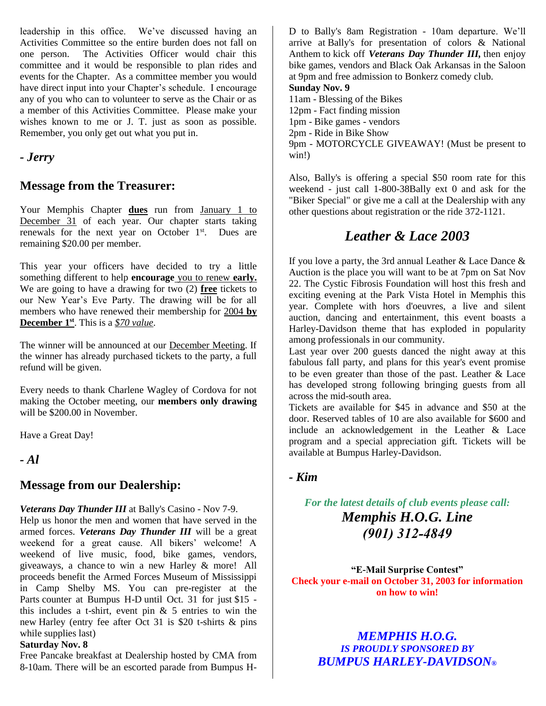leadership in this office. We've discussed having an Activities Committee so the entire burden does not fall on one person. The Activities Officer would chair this committee and it would be responsible to plan rides and events for the Chapter. As a committee member you would have direct input into your Chapter's schedule. I encourage any of you who can to volunteer to serve as the Chair or as a member of this Activities Committee. Please make your wishes known to me or J. T. just as soon as possible. Remember, you only get out what you put in.

*- Jerry*

# **Message from the Treasurer:**

Your Memphis Chapter **dues** run from January 1 to December 31 of each year. Our chapter starts taking renewals for the next year on October 1<sup>st</sup>. Dues are remaining \$20.00 per member.

This year your officers have decided to try a little something different to help **encourage** you to renew **early.**  We are going to have a drawing for two (2) **free** tickets to our New Year's Eve Party. The drawing will be for all members who have renewed their membership for 2004 **by December 1st** . This is a *\$70 value*.

The winner will be announced at our December Meeting. If the winner has already purchased tickets to the party, a full refund will be given.

Every needs to thank Charlene Wagley of Cordova for not making the October meeting, our **members only drawing** will be \$200.00 in November.

Have a Great Day!

*- Al*

## **Message from our Dealership:**

*Veterans Day Thunder III* at Bally's Casino - Nov 7-9.

Help us honor the men and women that have served in the armed forces. *Veterans Day Thunder III* will be a great weekend for a great cause. All bikers' welcome! A weekend of live music, food, bike games, vendors, giveaways, a chance to win a new Harley & more! All proceeds benefit the Armed Forces Museum of Mississippi in Camp Shelby MS. You can pre-register at the Parts counter at Bumpus H-D until Oct. 31 for just \$15 this includes a t-shirt, event pin  $& 5$  entries to win the new Harley (entry fee after Oct 31 is \$20 t-shirts & pins while supplies last)

#### **Saturday Nov. 8**

Free Pancake breakfast at Dealership hosted by CMA from 8-10am. There will be an escorted parade from Bumpus H-

D to Bally's 8am Registration - 10am departure. We'll arrive at Bally's for presentation of colors & National Anthem to kick off *Veterans Day Thunder III,* then enjoy bike games, vendors and Black Oak Arkansas in the Saloon at 9pm and free admission to Bonkerz comedy club.

#### **Sunday Nov. 9**

11am - Blessing of the Bikes 12pm - Fact finding mission 1pm - Bike games - vendors 2pm - Ride in Bike Show 9pm - MOTORCYCLE GIVEAWAY! (Must be present to win!)

Also, Bally's is offering a special \$50 room rate for this weekend - just call 1-800-38Bally ext 0 and ask for the "Biker Special" or give me a call at the Dealership with any other questions about registration or the ride 372-1121.

# *Leather & Lace 2003*

If you love a party, the 3rd annual Leather  $\&$  Lace Dance  $\&$ Auction is the place you will want to be at 7pm on Sat Nov 22. The Cystic Fibrosis Foundation will host this fresh and exciting evening at the Park Vista Hotel in Memphis this year. Complete with hors d'oeuvres, a live and silent auction, dancing and entertainment, this event boasts a Harley-Davidson theme that has exploded in popularity among professionals in our community.

Last year over 200 guests danced the night away at this fabulous fall party, and plans for this year's event promise to be even greater than those of the past. Leather & Lace has developed strong following bringing guests from all across the mid-south area.

Tickets are available for \$45 in advance and \$50 at the door. Reserved tables of 10 are also available for \$600 and include an acknowledgement in the Leather & Lace program and a special appreciation gift. Tickets will be available at Bumpus Harley-Davidson.

## *- Kim*

*For the latest details of club events please call: Memphis H.O.G. Line (901) 312-4849*

**"E-Mail Surprise Contest" Check your e-mail on October 31, 2003 for information on how to win!**

*MEMPHIS H.O.G. IS PROUDLY SPONSORED BY BUMPUS HARLEY-DAVIDSON®*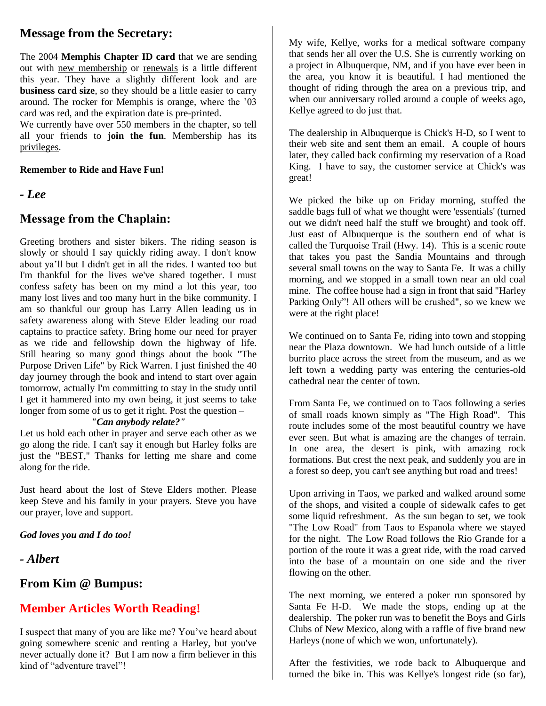# **Message from the Secretary:**

The 2004 **Memphis Chapter ID card** that we are sending out with new membership or renewals is a little different this year. They have a slightly different look and are **business card size**, so they should be a little easier to carry around. The rocker for Memphis is orange, where the '03 card was red, and the expiration date is pre-printed.

We currently have over 550 members in the chapter, so tell all your friends to **join the fun**. Membership has its privileges.

#### **Remember to Ride and Have Fun!**

*- Lee*

#### **Message from the Chaplain:**

Greeting brothers and sister bikers. The riding season is slowly or should I say quickly riding away. I don't know about ya'll but I didn't get in all the rides. I wanted too but I'm thankful for the lives we've shared together. I must confess safety has been on my mind a lot this year, too many lost lives and too many hurt in the bike community. I am so thankful our group has Larry Allen leading us in safety awareness along with Steve Elder leading our road captains to practice safety. Bring home our need for prayer as we ride and fellowship down the highway of life. Still hearing so many good things about the book "The Purpose Driven Life" by Rick Warren. I just finished the 40 day journey through the book and intend to start over again tomorrow, actually I'm committing to stay in the study until I get it hammered into my own being, it just seems to take longer from some of us to get it right. Post the question –

#### *"Can anybody relate?"*

Let us hold each other in prayer and serve each other as we go along the ride. I can't say it enough but Harley folks are just the "BEST," Thanks for letting me share and come along for the ride.

Just heard about the lost of Steve Elders mother. Please keep Steve and his family in your prayers. Steve you have our prayer, love and support.

*God loves you and I do too!*

*- Albert*

#### **From Kim @ Bumpus:**

## **Member Articles Worth Reading!**

I suspect that many of you are like me? You've heard about going somewhere scenic and renting a Harley, but you've never actually done it? But I am now a firm believer in this kind of "adventure travel"!

My wife, Kellye, works for a medical software company that sends her all over the U.S. She is currently working on a project in Albuquerque, NM, and if you have ever been in the area, you know it is beautiful. I had mentioned the thought of riding through the area on a previous trip, and when our anniversary rolled around a couple of weeks ago, Kellye agreed to do just that.

The dealership in Albuquerque is Chick's H-D, so I went to their web site and sent them an email. A couple of hours later, they called back confirming my reservation of a Road King. I have to say, the customer service at Chick's was great!

We picked the bike up on Friday morning, stuffed the saddle bags full of what we thought were 'essentials' (turned out we didn't need half the stuff we brought) and took off. Just east of Albuquerque is the southern end of what is called the Turquoise Trail (Hwy. 14). This is a scenic route that takes you past the Sandia Mountains and through several small towns on the way to Santa Fe. It was a chilly morning, and we stopped in a small town near an old coal mine. The coffee house had a sign in front that said "Harley Parking Only"! All others will be crushed", so we knew we were at the right place!

We continued on to Santa Fe, riding into town and stopping near the Plaza downtown. We had lunch outside of a little burrito place across the street from the museum, and as we left town a wedding party was entering the centuries-old cathedral near the center of town.

From Santa Fe, we continued on to Taos following a series of small roads known simply as "The High Road". This route includes some of the most beautiful country we have ever seen. But what is amazing are the changes of terrain. In one area, the desert is pink, with amazing rock formations. But crest the next peak, and suddenly you are in a forest so deep, you can't see anything but road and trees!

Upon arriving in Taos, we parked and walked around some of the shops, and visited a couple of sidewalk cafes to get some liquid refreshment. As the sun began to set, we took "The Low Road" from Taos to Espanola where we stayed for the night. The Low Road follows the Rio Grande for a portion of the route it was a great ride, with the road carved into the base of a mountain on one side and the river flowing on the other.

The next morning, we entered a poker run sponsored by Santa Fe H-D. We made the stops, ending up at the dealership. The poker run was to benefit the Boys and Girls Clubs of New Mexico, along with a raffle of five brand new Harleys (none of which we won, unfortunately).

After the festivities, we rode back to Albuquerque and turned the bike in. This was Kellye's longest ride (so far),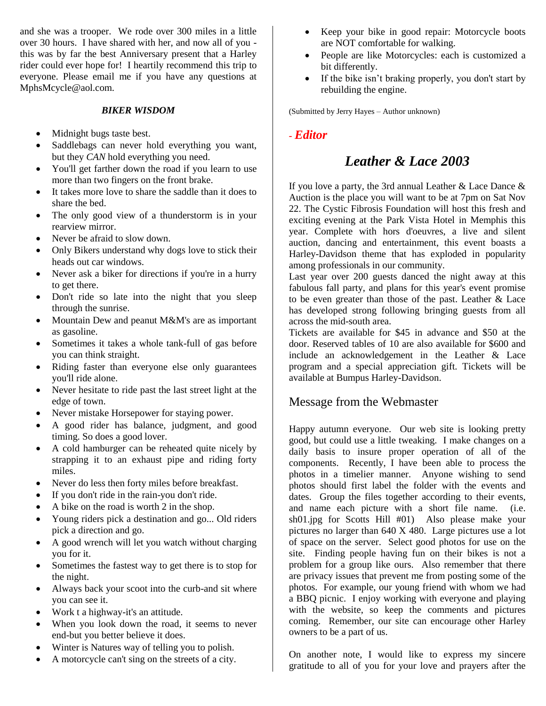and she was a trooper. We rode over 300 miles in a little over 30 hours. I have shared with her, and now all of you this was by far the best Anniversary present that a Harley rider could ever hope for! I heartily recommend this trip to everyone. Please email me if you have any questions at MphsMcycle@aol.com.

#### *BIKER WISDOM*

- Midnight bugs taste best.
- Saddlebags can never hold everything you want, but they *CAN* hold everything you need.
- You'll get farther down the road if you learn to use more than two fingers on the front brake.
- It takes more love to share the saddle than it does to share the bed.
- The only good view of a thunderstorm is in your rearview mirror.
- Never be afraid to slow down.
- Only Bikers understand why dogs love to stick their heads out car windows.
- Never ask a biker for directions if you're in a hurry to get there.
- Don't ride so late into the night that you sleep through the sunrise.
- Mountain Dew and peanut M&M's are as important as gasoline.
- Sometimes it takes a whole tank-full of gas before you can think straight.
- Riding faster than everyone else only guarantees you'll ride alone.
- Never hesitate to ride past the last street light at the edge of town.
- Never mistake Horsepower for staying power.
- A good rider has balance, judgment, and good timing. So does a good lover.
- A cold hamburger can be reheated quite nicely by strapping it to an exhaust pipe and riding forty miles.
- Never do less then forty miles before breakfast.
- If you don't ride in the rain-you don't ride.
- A bike on the road is worth 2 in the shop.
- Young riders pick a destination and go... Old riders pick a direction and go.
- A good wrench will let you watch without charging you for it.
- Sometimes the fastest way to get there is to stop for the night.
- Always back your scoot into the curb-and sit where you can see it.
- Work t a highway-it's an attitude.
- When you look down the road, it seems to never end-but you better believe it does.
- Winter is Natures way of telling you to polish.
- A motorcycle can't sing on the streets of a city.
- Keep your bike in good repair: Motorcycle boots are NOT comfortable for walking.
- People are like Motorcycles: each is customized a bit differently.
- If the bike isn't braking properly, you don't start by rebuilding the engine.

(Submitted by Jerry Hayes – Author unknown)

#### *- Editor*

# *Leather & Lace 2003*

If you love a party, the 3rd annual Leather  $&$  Lace Dance  $&$ Auction is the place you will want to be at 7pm on Sat Nov 22. The Cystic Fibrosis Foundation will host this fresh and exciting evening at the Park Vista Hotel in Memphis this year. Complete with hors d'oeuvres, a live and silent auction, dancing and entertainment, this event boasts a Harley-Davidson theme that has exploded in popularity among professionals in our community.

Last year over 200 guests danced the night away at this fabulous fall party, and plans for this year's event promise to be even greater than those of the past. Leather & Lace has developed strong following bringing guests from all across the mid-south area.

Tickets are available for \$45 in advance and \$50 at the door. Reserved tables of 10 are also available for \$600 and include an acknowledgement in the Leather & Lace program and a special appreciation gift. Tickets will be available at Bumpus Harley-Davidson.

#### Message from the Webmaster

Happy autumn everyone. Our web site is looking pretty good, but could use a little tweaking. I make changes on a daily basis to insure proper operation of all of the components. Recently, I have been able to process the photos in a timelier manner. Anyone wishing to send photos should first label the folder with the events and dates. Group the files together according to their events, and name each picture with a short file name. (i.e. sh01.jpg for Scotts Hill #01) Also please make your pictures no larger than 640 X 480. Large pictures use a lot of space on the server. Select good photos for use on the site. Finding people having fun on their bikes is not a problem for a group like ours. Also remember that there are privacy issues that prevent me from posting some of the photos. For example, our young friend with whom we had a BBQ picnic. I enjoy working with everyone and playing with the website, so keep the comments and pictures coming. Remember, our site can encourage other Harley owners to be a part of us.

On another note, I would like to express my sincere gratitude to all of you for your love and prayers after the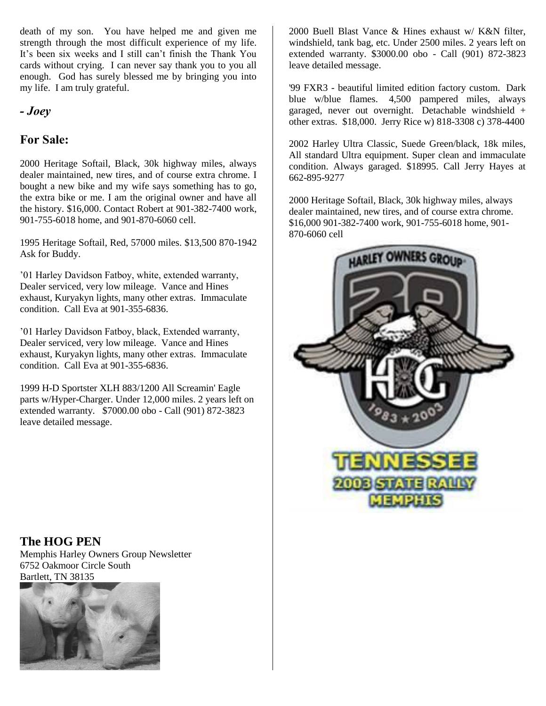death of my son. You have helped me and given me strength through the most difficult experience of my life. It's been six weeks and I still can't finish the Thank You cards without crying. I can never say thank you to you all enough. God has surely blessed me by bringing you into my life. I am truly grateful.

## *- Joey*

## **For Sale:**

2000 Heritage Softail, Black, 30k highway miles, always dealer maintained, new tires, and of course extra chrome. I bought a new bike and my wife says something has to go, the extra bike or me. I am the original owner and have all the history. \$16,000. Contact Robert at 901-382-7400 work, 901-755-6018 home, and 901-870-6060 cell.

1995 Heritage Softail, Red, 57000 miles. \$13,500 870-1942 Ask for Buddy.

'01 Harley Davidson Fatboy, white, extended warranty, Dealer serviced, very low mileage. Vance and Hines exhaust, Kuryakyn lights, many other extras. Immaculate condition. Call Eva at 901-355-6836.

'01 Harley Davidson Fatboy, black, Extended warranty, Dealer serviced, very low mileage. Vance and Hines exhaust, Kuryakyn lights, many other extras. Immaculate condition. Call Eva at 901-355-6836.

1999 H-D Sportster XLH 883/1200 All Screamin' Eagle parts w/Hyper-Charger. Under 12,000 miles. 2 years left on extended warranty. \$7000.00 obo - Call (901) 872-3823 leave detailed message.

2000 Buell Blast Vance & Hines exhaust w/ K&N filter, windshield, tank bag, etc. Under 2500 miles. 2 years left on extended warranty. \$3000.00 obo - Call (901) 872-3823 leave detailed message.

'99 FXR3 - beautiful limited edition factory custom. Dark blue w/blue flames. 4,500 pampered miles, always garaged, never out overnight. Detachable windshield + other extras. \$18,000. Jerry Rice w) 818-3308 c) 378-4400

2002 Harley Ultra Classic, Suede Green/black, 18k miles, All standard Ultra equipment. Super clean and immaculate condition. Always garaged. \$18995. Call Jerry Hayes at 662-895-9277

2000 Heritage Softail, Black, 30k highway miles, always dealer maintained, new tires, and of course extra chrome. \$16,000 901-382-7400 work, 901-755-6018 home, 901- 870-6060 cell



## **The HOG PEN**

Memphis Harley Owners Group Newsletter 6752 Oakmoor Circle South Bartlett, TN 38135

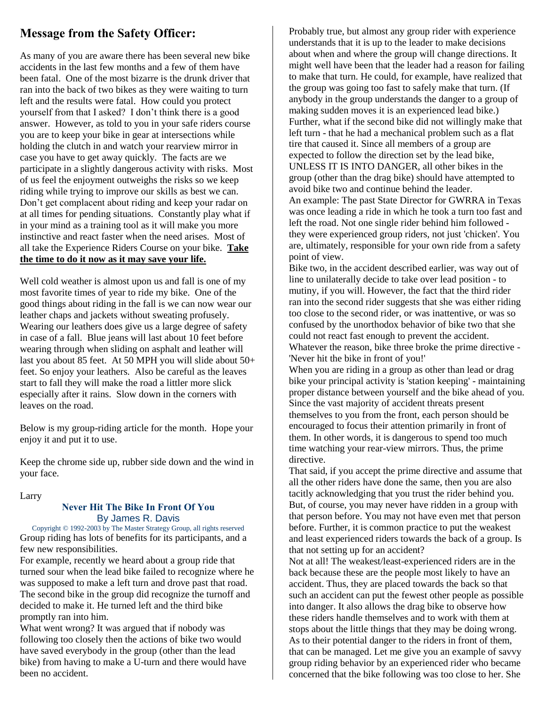# **Message from the Safety Officer:**

As many of you are aware there has been several new bike accidents in the last few months and a few of them have been fatal. One of the most bizarre is the drunk driver that ran into the back of two bikes as they were waiting to turn left and the results were fatal. How could you protect yourself from that I asked? I don't think there is a good answer. However, as told to you in your safe riders course you are to keep your bike in gear at intersections while holding the clutch in and watch your rearview mirror in case you have to get away quickly. The facts are we participate in a slightly dangerous activity with risks. Most of us feel the enjoyment outweighs the risks so we keep riding while trying to improve our skills as best we can. Don't get complacent about riding and keep your radar on at all times for pending situations. Constantly play what if in your mind as a training tool as it will make you more instinctive and react faster when the need arises. Most of all take the Experience Riders Course on your bike. **Take the time to do it now as it may save your life.**

Well cold weather is almost upon us and fall is one of my most favorite times of year to ride my bike. One of the good things about riding in the fall is we can now wear our leather chaps and jackets without sweating profusely. Wearing our leathers does give us a large degree of safety in case of a fall. Blue jeans will last about 10 feet before wearing through when sliding on asphalt and leather will last you about 85 feet. At 50 MPH you will slide about 50+ feet. So enjoy your leathers. Also be careful as the leaves start to fall they will make the road a littler more slick especially after it rains. Slow down in the corners with leaves on the road.

Below is my group-riding article for the month. Hope your enjoy it and put it to use.

Keep the chrome side up, rubber side down and the wind in your face.

#### Larry

#### **Never Hit The Bike In Front Of You** By James R. Davis

Copyright © 1992-2003 by The Master Strategy Group, all rights reserved Group riding has lots of benefits for its participants, and a few new responsibilities.

For example, recently we heard about a group ride that turned sour when the lead bike failed to recognize where he was supposed to make a left turn and drove past that road. The second bike in the group did recognize the turnoff and decided to make it. He turned left and the third bike promptly ran into him.

What went wrong? It was argued that if nobody was following too closely then the actions of bike two would have saved everybody in the group (other than the lead bike) from having to make a U-turn and there would have been no accident.

Probably true, but almost any group rider with experience understands that it is up to the leader to make decisions about when and where the group will change directions. It might well have been that the leader had a reason for failing to make that turn. He could, for example, have realized that the group was going too fast to safely make that turn. (If anybody in the group understands the danger to a group of making sudden moves it is an experienced lead bike.) Further, what if the second bike did not willingly make that left turn - that he had a mechanical problem such as a flat tire that caused it. Since all members of a group are expected to follow the direction set by the lead bike, UNLESS IT IS INTO DANGER, all other bikes in the group (other than the drag bike) should have attempted to avoid bike two and continue behind the leader. An example: The past State Director for GWRRA in Texas was once leading a ride in which he took a turn too fast and left the road. Not one single rider behind him followed they were experienced group riders, not just 'chicken'. You are, ultimately, responsible for your own ride from a safety point of view.

Bike two, in the accident described earlier, was way out of line to unilaterally decide to take over lead position - to mutiny, if you will. However, the fact that the third rider ran into the second rider suggests that she was either riding too close to the second rider, or was inattentive, or was so confused by the unorthodox behavior of bike two that she could not react fast enough to prevent the accident. Whatever the reason, bike three broke the prime directive - 'Never hit the bike in front of you!'

When you are riding in a group as other than lead or drag bike your principal activity is 'station keeping' - maintaining proper distance between yourself and the bike ahead of you. Since the vast majority of accident threats present themselves to you from the front, each person should be encouraged to focus their attention primarily in front of them. In other words, it is dangerous to spend too much time watching your rear-view mirrors. Thus, the prime directive.

That said, if you accept the prime directive and assume that all the other riders have done the same, then you are also tacitly acknowledging that you trust the rider behind you. But, of course, you may never have ridden in a group with that person before. You may not have even met that person before. Further, it is common practice to put the weakest and least experienced riders towards the back of a group. Is that not setting up for an accident?

Not at all! The weakest/least-experienced riders are in the back because these are the people most likely to have an accident. Thus, they are placed towards the back so that such an accident can put the fewest other people as possible into danger. It also allows the drag bike to observe how these riders handle themselves and to work with them at stops about the little things that they may be doing wrong. As to their potential danger to the riders in front of them, that can be managed. Let me give you an example of savvy group riding behavior by an experienced rider who became concerned that the bike following was too close to her. She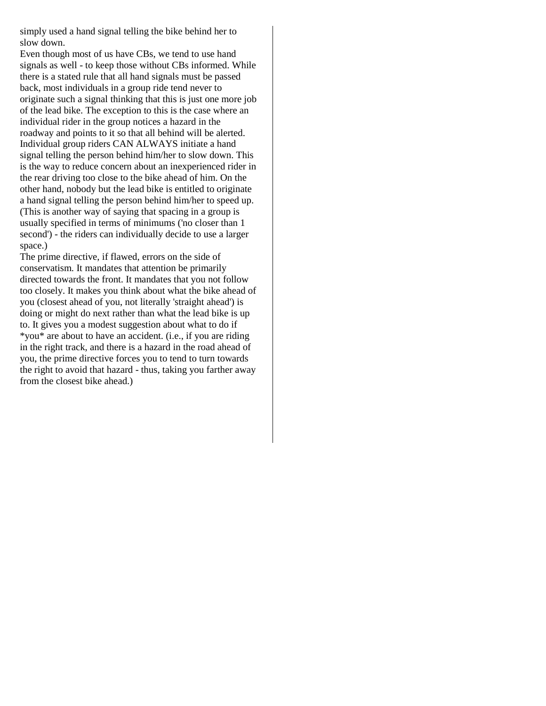simply used a hand signal telling the bike behind her to slow down.

Even though most of us have CBs, we tend to use hand signals as well - to keep those without CBs informed. While there is a stated rule that all hand signals must be passed back, most individuals in a group ride tend never to originate such a signal thinking that this is just one more job of the lead bike. The exception to this is the case where an individual rider in the group notices a hazard in the roadway and points to it so that all behind will be alerted. Individual group riders CAN ALWAYS initiate a hand signal telling the person behind him/her to slow down. This is the way to reduce concern about an inexperienced rider in the rear driving too close to the bike ahead of him. On the other hand, nobody but the lead bike is entitled to originate a hand signal telling the person behind him/her to speed up. (This is another way of saying that spacing in a group is usually specified in terms of minimums ('no closer than 1 second') - the riders can individually decide to use a larger space.)

The prime directive, if flawed, errors on the side of conservatism. It mandates that attention be primarily directed towards the front. It mandates that you not follow too closely. It makes you think about what the bike ahead of you (closest ahead of you, not literally 'straight ahead') is doing or might do next rather than what the lead bike is up to. It gives you a modest suggestion about what to do if \*you\* are about to have an accident. (i.e., if you are riding in the right track, and there is a hazard in the road ahead of you, the prime directive forces you to tend to turn towards the right to avoid that hazard - thus, taking you farther away from the closest bike ahead.)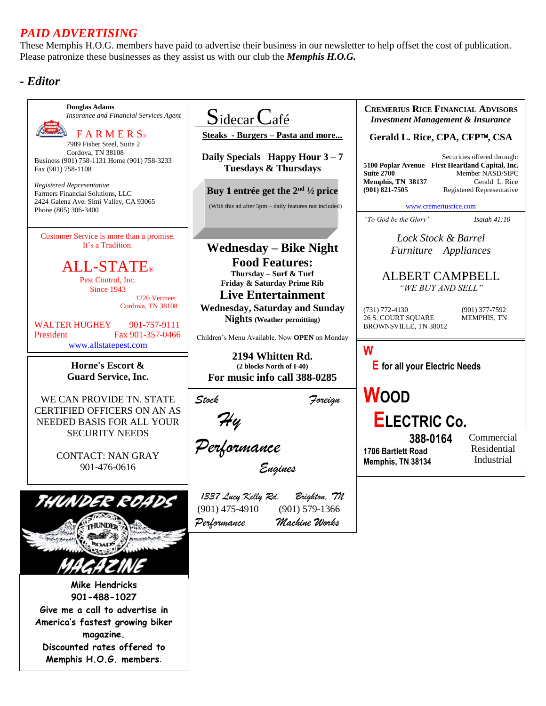# *PAID ADVERTISING*

These Memphis H.O.G. members have paid to advertise their business in our newsletter to help offset the cost of publication. Please patronize these businesses as they assist us with our club the *Memphis H.O.G.*

## *- Editor*

**Douglas Adams CREMERIUS RICE FINANCIAL ADVISORS**  $S$ idecar *Insurance and Financial Services Agent Investment Management & Insurance*  $F$  A R M E R  $S_{\odot}$ **Steaks - Burgers – Pasta and more... Gerald L. Rice, CPA, CFP, CSA** 7989 Fisher Steel, Suite 2 Cordova, TN 38108 **Daily Specials Happy Hour 3 – 7** Securities offered through: Business (901) 758-1131 Home (901) 758-3233 **5100 Poplar Avenue First Heartland Capital, Inc. Tuesdays & Thursdays** Fax (901) 758-1108 **Suite 2700 Member NASD/SIPC**<br>**Memphis, TN 38137 Gerald L. Rice Memphis, TN 38137**<br>(901) 821-7505 *Registered Representative* **Buy 1 entrée get the 2nd ½ price (901) 821-7505** Registered Representative Farmers Financial Solutions, LLC 2424 Galena Ave. Simi Valley, CA 93065 (With this ad after 5pm – daily features not included) [www.cremeriusrice.com](http://www.cremeriusrice.com/)  Phone (805) 306-3400 *"To God be the Glory" Isaiah 41:10* Customer Service is more than a promise. *Lock Stock & Barrel* It's a Tradition. **Wednesday – Bike Night** *Furniture Appliances* **Food Features:** ALL-STATE® **Thursday – Surf & Turf**  ALBERT CAMPBELL Pest Control, Inc. **Friday & Saturday Prime Rib** *"WE BUY AND SELL"* Since 1943 **Live Entertainment** 1220 Vermeer Cordova, TN 38108 **Wednesday, Saturday and Sunday**  (731) 772-4130 (901) 377-7592<br>
26 S. COURT SQUARE MEMPHIS, TN 26 S. COURT SQUARE **Nights (Weather permitting)** WALTER HUGHEY 901-757-9111 BROWNSVILLE, TN 38012 President Fax 901-357-0466 Children's Menu Available. Now **OPEN** on Monday [www.allstatepest.com](http://www.allstatepest.com/) **W 2194 Whitten Rd. Horne's Escort & E for all your Electric Needs (2 blocks North of I-40) Guard Service, Inc. For music info call 388-0285 WOOD** *Stock Foreign* WE CAN PROVIDE TN. STATE CERTIFIED OFFICERS ON AN AS  *Hy*   **ELECTRIC Co.** NEEDED BASIS FOR ALL YOUR SECURITY NEEDS  **388-0164** Commercial *Performance* Residential **1706 Bartlett Road** CONTACT: NAN GRAY Industrial **Memphis, TN 38134** *Engines* 901-476-0616 *1337 Lucy Kelly Rd. Brighton, TN* (901) 475-4910 (901) 579-1366 *Performance Machine Works*  **UNDER Mike Hendricks 901-488-1027 Give me a call to advertise in America's fastest growing biker magazine. Discounted rates offered to Memphis H.O.G. members**.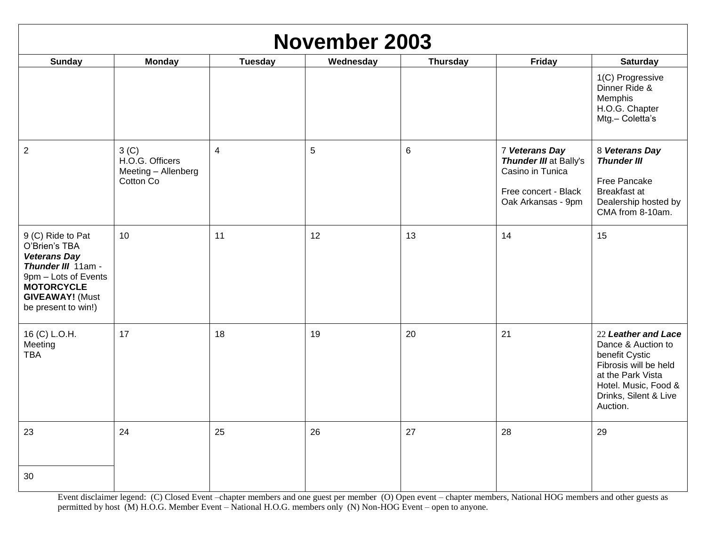| <b>November 2003</b>                                                                                                                                                          |                                                                         |                |           |                 |                                                                                                            |                                                                                                                                                                        |
|-------------------------------------------------------------------------------------------------------------------------------------------------------------------------------|-------------------------------------------------------------------------|----------------|-----------|-----------------|------------------------------------------------------------------------------------------------------------|------------------------------------------------------------------------------------------------------------------------------------------------------------------------|
| <b>Sunday</b>                                                                                                                                                                 | <b>Monday</b>                                                           | <b>Tuesday</b> | Wednesday | <b>Thursday</b> | Friday                                                                                                     | <b>Saturday</b>                                                                                                                                                        |
|                                                                                                                                                                               |                                                                         |                |           |                 |                                                                                                            | 1(C) Progressive<br>Dinner Ride &<br>Memphis<br>H.O.G. Chapter<br>Mtg.- Coletta's                                                                                      |
| $\mathbf{2}$                                                                                                                                                                  | 3 <sup>(C)</sup><br>H.O.G. Officers<br>Meeting - Allenberg<br>Cotton Co | $\overline{4}$ | 5         | $\,6$           | 7 Veterans Day<br>Thunder III at Bally's<br>Casino in Tunica<br>Free concert - Black<br>Oak Arkansas - 9pm | 8 Veterans Day<br><b>Thunder III</b><br>Free Pancake<br>Breakfast at<br>Dealership hosted by<br>CMA from 8-10am.                                                       |
| 9 (C) Ride to Pat<br>O'Brien's TBA<br><b>Veterans Day</b><br>Thunder III 11am -<br>9pm - Lots of Events<br><b>MOTORCYCLE</b><br><b>GIVEAWAY!</b> (Must<br>be present to win!) | 10                                                                      | 11             | 12        | 13              | 14                                                                                                         | 15                                                                                                                                                                     |
| 16 (C) L.O.H.<br>Meeting<br><b>TBA</b>                                                                                                                                        | 17                                                                      | 18             | 19        | 20              | 21                                                                                                         | 22 Leather and Lace<br>Dance & Auction to<br>benefit Cystic<br>Fibrosis will be held<br>at the Park Vista<br>Hotel. Music, Food &<br>Drinks, Silent & Live<br>Auction. |
| 23                                                                                                                                                                            | 24                                                                      | 25             | 26        | 27              | 28                                                                                                         | 29                                                                                                                                                                     |
| 30                                                                                                                                                                            |                                                                         |                |           |                 |                                                                                                            |                                                                                                                                                                        |

Event disclaimer legend: (C) Closed Event –chapter members and one guest per member (O) Open event – chapter members, National HOG members and other guests as permitted by host (M) H.O.G. Member Event – National H.O.G. members only (N) Non-HOG Event – open to anyone.